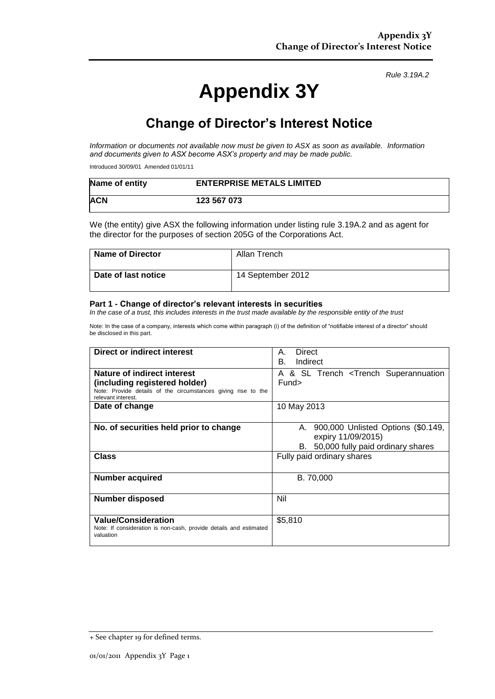# **Appendix 3Y**

*Rule 3.19A.2*

## **Change of Director's Interest Notice**

*Information or documents not available now must be given to ASX as soon as available. Information and documents given to ASX become ASX's property and may be made public.*

Introduced 30/09/01 Amended 01/01/11

| Name of entity | <b>ENTERPRISE METALS LIMITED</b> |
|----------------|----------------------------------|
| <b>ACN</b>     | 123 567 073                      |

We (the entity) give ASX the following information under listing rule 3.19A.2 and as agent for the director for the purposes of section 205G of the Corporations Act.

| <b>Name of Director</b> | Allan Trench      |
|-------------------------|-------------------|
| Date of last notice     | 14 September 2012 |

#### **Part 1 - Change of director's relevant interests in securities**

*In the case of a trust, this includes interests in the trust made available by the responsible entity of the trust*

Note: In the case of a company, interests which come within paragraph (i) of the definition of "notifiable interest of a director" should be disclosed in this part.

| Direct or indirect interest                                                                                                                         | Direct<br>Α.<br>В.<br>Indirect                                                                            |  |  |  |
|-----------------------------------------------------------------------------------------------------------------------------------------------------|-----------------------------------------------------------------------------------------------------------|--|--|--|
| Nature of indirect interest<br>(including registered holder)<br>Note: Provide details of the circumstances giving rise to the<br>relevant interest. | A & SL Trench <trench superannuation<br="">Fund&gt;</trench>                                              |  |  |  |
| Date of change                                                                                                                                      | 10 May 2013                                                                                               |  |  |  |
| No. of securities held prior to change                                                                                                              | 900,000 Unlisted Options (\$0.149,<br>А.<br>expiry 11/09/2015)<br>50,000 fully paid ordinary shares<br>В. |  |  |  |
| <b>Class</b>                                                                                                                                        | Fully paid ordinary shares                                                                                |  |  |  |
| <b>Number acquired</b>                                                                                                                              | B. 70,000                                                                                                 |  |  |  |
| <b>Number disposed</b>                                                                                                                              | Nil                                                                                                       |  |  |  |
| <b>Value/Consideration</b><br>Note: If consideration is non-cash, provide details and estimated<br>valuation                                        | \$5,810                                                                                                   |  |  |  |

<sup>+</sup> See chapter 19 for defined terms.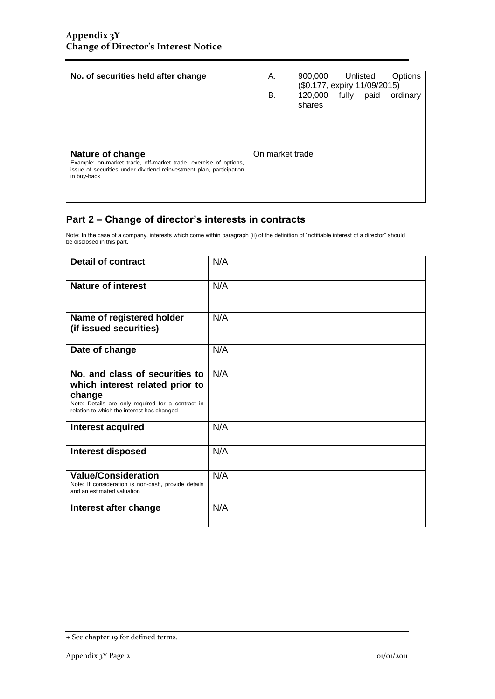| А. | 900,000           | Unlisted        | Options                      |
|----|-------------------|-----------------|------------------------------|
| В. | 120,000<br>shares | fully<br>paid   | ordinary                     |
|    |                   |                 |                              |
|    |                   | On market trade | (\$0.177, expiry 11/09/2015) |

### **Part 2 – Change of director's interests in contracts**

Note: In the case of a company, interests which come within paragraph (ii) of the definition of "notifiable interest of a director" should be disclosed in this part.

| <b>Detail of contract</b>                                                                                                                                                      | N/A |
|--------------------------------------------------------------------------------------------------------------------------------------------------------------------------------|-----|
| <b>Nature of interest</b>                                                                                                                                                      | N/A |
| Name of registered holder<br>(if issued securities)                                                                                                                            | N/A |
| Date of change                                                                                                                                                                 | N/A |
| No. and class of securities to<br>which interest related prior to<br>change<br>Note: Details are only required for a contract in<br>relation to which the interest has changed | N/A |
| <b>Interest acquired</b>                                                                                                                                                       | N/A |
| <b>Interest disposed</b>                                                                                                                                                       | N/A |
| <b>Value/Consideration</b><br>Note: If consideration is non-cash, provide details<br>and an estimated valuation                                                                | N/A |
| Interest after change                                                                                                                                                          | N/A |

<sup>+</sup> See chapter 19 for defined terms.